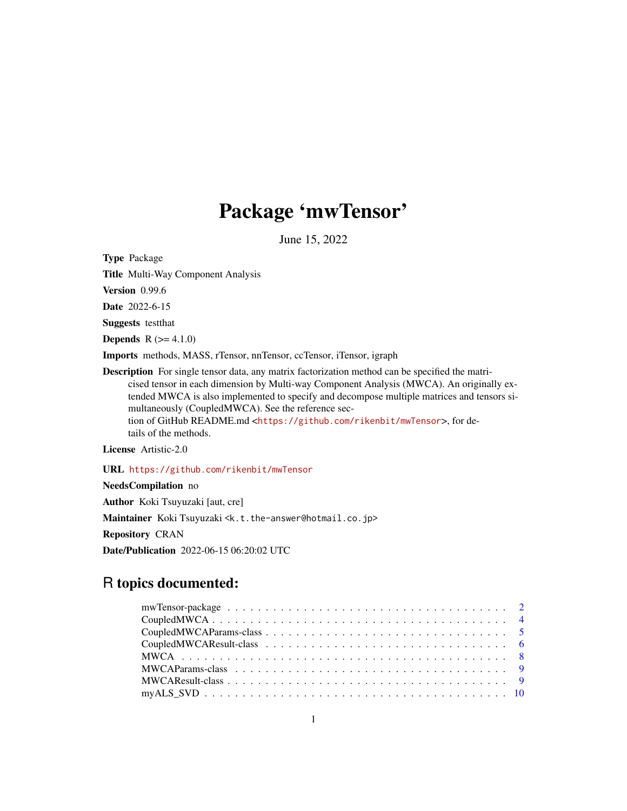# Package 'mwTensor'

June 15, 2022

<span id="page-0-0"></span>Type Package

Title Multi-Way Component Analysis

Version 0.99.6

Date 2022-6-15

Suggests testthat

**Depends**  $R$  ( $>= 4.1.0$ )

Imports methods, MASS, rTensor, nnTensor, ccTensor, iTensor, igraph

Description For single tensor data, any matrix factorization method can be specified the matricised tensor in each dimension by Multi-way Component Analysis (MWCA). An originally extended MWCA is also implemented to specify and decompose multiple matrices and tensors simultaneously (CoupledMWCA). See the reference section of GitHub README.md <<https://github.com/rikenbit/mwTensor>>, for details of the methods.

License Artistic-2.0

URL <https://github.com/rikenbit/mwTensor>

NeedsCompilation no Author Koki Tsuyuzaki [aut, cre] Maintainer Koki Tsuyuzaki <k.t.the-answer@hotmail.co.jp> Repository CRAN Date/Publication 2022-06-15 06:20:02 UTC

# R topics documented: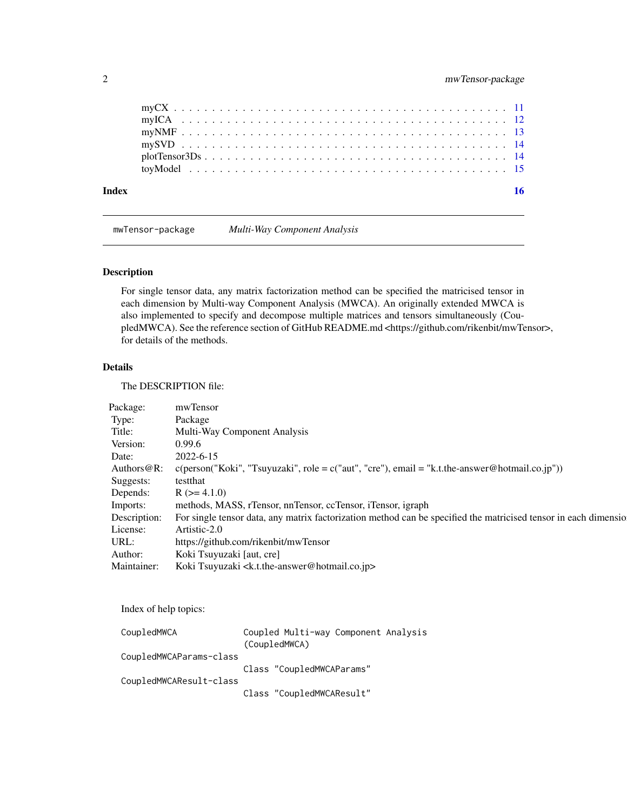mwTensor-package *Multi-Way Component Analysis*

# Description

For single tensor data, any matrix factorization method can be specified the matricised tensor in each dimension by Multi-way Component Analysis (MWCA). An originally extended MWCA is also implemented to specify and decompose multiple matrices and tensors simultaneously (CoupledMWCA). See the reference section of GitHub README.md <https://github.com/rikenbit/mwTensor>, for details of the methods.

#### Details

The DESCRIPTION file:

| Package:    | mwTensor                                                                                                                     |  |
|-------------|------------------------------------------------------------------------------------------------------------------------------|--|
| Type:       | Package                                                                                                                      |  |
| Title:      | Multi-Way Component Analysis                                                                                                 |  |
| Version:    | 0.99.6                                                                                                                       |  |
| Date:       | 2022-6-15                                                                                                                    |  |
|             | Authors @R: c(person("Koki", "Tsuyuzaki", role = c("aut", "cre"), email = "k.t.the-answer @hotmail.co.jp"))                  |  |
| Suggests:   | testthat                                                                                                                     |  |
| Depends:    | $R (= 4.1.0)$                                                                                                                |  |
| Imports:    | methods, MASS, rTensor, nnTensor, ccTensor, iTensor, igraph                                                                  |  |
|             | Description: For single tensor data, any matrix factorization method can be specified the matricised tensor in each dimensio |  |
| License:    | Artistic-2.0                                                                                                                 |  |
| URL:        | https://github.com/rikenbit/mwTensor                                                                                         |  |
| Author:     | Koki Tsuyuzaki [aut, cre]                                                                                                    |  |
| Maintainer: | Koki Tsuyuzaki <k.t.the-answer@hotmail.co.jp></k.t.the-answer@hotmail.co.jp>                                                 |  |

Index of help topics:

| CoupledMWCA             | Coupled Multi-way Component Analysis<br>(CoupledMWCA) |  |
|-------------------------|-------------------------------------------------------|--|
| CoupledMWCAParams-class |                                                       |  |
| CoupledMWCAResult-class | Class "CoupledMWCAParams"                             |  |
|                         | Class "CoupledMWCAResult"                             |  |

<span id="page-1-0"></span>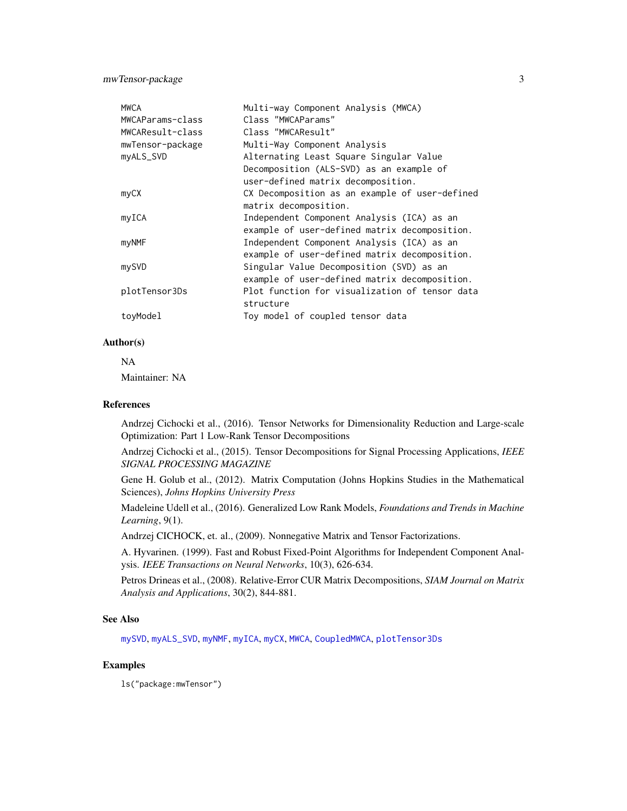<span id="page-2-0"></span>mwTensor-package 3

| <b>MWCA</b><br>MWCAParams-class<br>MWCAResult-class<br>mwTensor-package | Multi-way Component Analysis (MWCA)<br>Class "MWCAParams"<br>Class "MWCAResult"<br>Multi-Way Component Analysis           |
|-------------------------------------------------------------------------|---------------------------------------------------------------------------------------------------------------------------|
| myALS_SVD                                                               | Alternating Least Square Singular Value<br>Decomposition (ALS-SVD) as an example of<br>user-defined matrix decomposition. |
| myCX                                                                    | CX Decomposition as an example of user-defined<br>matrix decomposition.                                                   |
| myICA                                                                   | Independent Component Analysis (ICA) as an<br>example of user-defined matrix decomposition.                               |
| myNMF                                                                   | Independent Component Analysis (ICA) as an<br>example of user-defined matrix decomposition.                               |
| mySVD                                                                   | Singular Value Decomposition (SVD) as an<br>example of user-defined matrix decomposition.                                 |
| plotTensor3Ds                                                           | Plot function for visualization of tensor data<br>structure                                                               |
| toyModel                                                                | Toy model of coupled tensor data                                                                                          |

#### Author(s)

NA Maintainer: NA

#### References

Andrzej Cichocki et al., (2016). Tensor Networks for Dimensionality Reduction and Large-scale Optimization: Part 1 Low-Rank Tensor Decompositions

Andrzej Cichocki et al., (2015). Tensor Decompositions for Signal Processing Applications, *IEEE SIGNAL PROCESSING MAGAZINE*

Gene H. Golub et al., (2012). Matrix Computation (Johns Hopkins Studies in the Mathematical Sciences), *Johns Hopkins University Press*

Madeleine Udell et al., (2016). Generalized Low Rank Models, *Foundations and Trends in Machine Learning*, 9(1).

Andrzej CICHOCK, et. al., (2009). Nonnegative Matrix and Tensor Factorizations.

A. Hyvarinen. (1999). Fast and Robust Fixed-Point Algorithms for Independent Component Analysis. *IEEE Transactions on Neural Networks*, 10(3), 626-634.

Petros Drineas et al., (2008). Relative-Error CUR Matrix Decompositions, *SIAM Journal on Matrix Analysis and Applications*, 30(2), 844-881.

#### See Also

[mySVD](#page-13-1), [myALS\\_SVD](#page-9-1), [myNMF](#page-12-1), [myICA](#page-11-1), [myCX](#page-10-1), [MWCA](#page-7-1), [CoupledMWCA](#page-3-1), [plotTensor3Ds](#page-13-2)

# Examples

ls("package:mwTensor")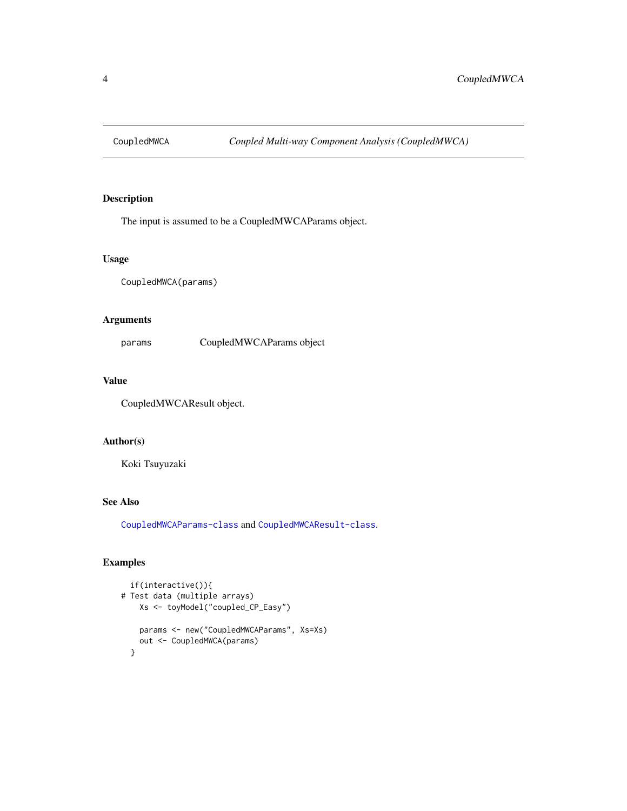<span id="page-3-1"></span><span id="page-3-0"></span>

# Description

The input is assumed to be a CoupledMWCAParams object.

#### Usage

CoupledMWCA(params)

# Arguments

params CoupledMWCAParams object

#### Value

CoupledMWCAResult object.

# Author(s)

Koki Tsuyuzaki

# See Also

[CoupledMWCAParams-class](#page-4-1) and [CoupledMWCAResult-class](#page-5-1).

```
if(interactive()){
# Test data (multiple arrays)
   Xs <- toyModel("coupled_CP_Easy")
   params <- new("CoupledMWCAParams", Xs=Xs)
   out <- CoupledMWCA(params)
 }
```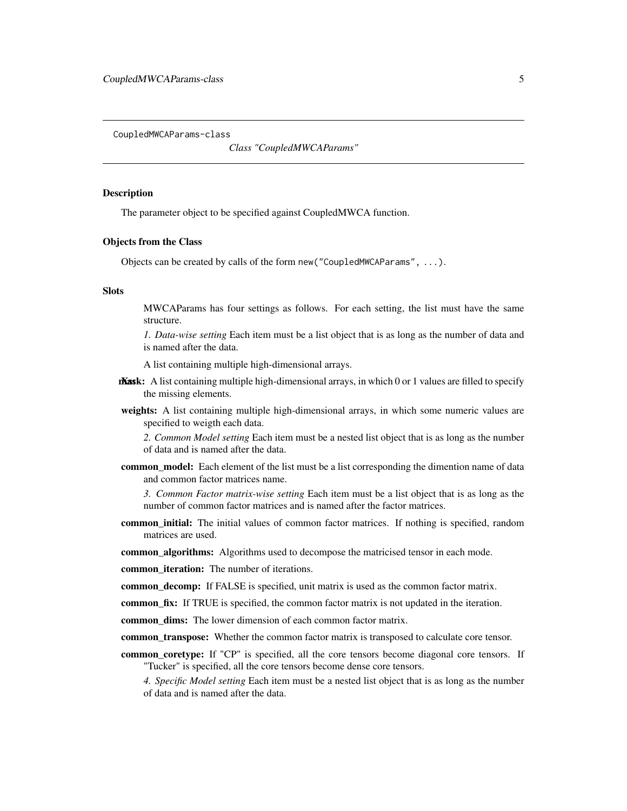<span id="page-4-1"></span><span id="page-4-0"></span>CoupledMWCAParams-class

*Class "CoupledMWCAParams"*

#### **Description**

The parameter object to be specified against CoupledMWCA function.

#### Objects from the Class

Objects can be created by calls of the form new("CoupledMWCAParams", ...).

#### Slots

MWCAParams has four settings as follows. For each setting, the list must have the same structure.

*1. Data-wise setting* Each item must be a list object that is as long as the number of data and is named after the data.

A list containing multiple high-dimensional arrays.

- $M$ ask: A list containing multiple high-dimensional arrays, in which 0 or 1 values are filled to specify the missing elements.
- weights: A list containing multiple high-dimensional arrays, in which some numeric values are specified to weigth each data.

*2. Common Model setting* Each item must be a nested list object that is as long as the number of data and is named after the data.

common\_model: Each element of the list must be a list corresponding the dimention name of data and common factor matrices name.

*3. Common Factor matrix-wise setting* Each item must be a list object that is as long as the number of common factor matrices and is named after the factor matrices.

common\_initial: The initial values of common factor matrices. If nothing is specified, random matrices are used.

common\_algorithms: Algorithms used to decompose the matricised tensor in each mode.

- common\_iteration: The number of iterations.
- common\_decomp: If FALSE is specified, unit matrix is used as the common factor matrix.
- common\_fix: If TRUE is specified, the common factor matrix is not updated in the iteration.
- common\_dims: The lower dimension of each common factor matrix.

common\_transpose: Whether the common factor matrix is transposed to calculate core tensor.

common\_coretype: If "CP" is specified, all the core tensors become diagonal core tensors. If "Tucker" is specified, all the core tensors become dense core tensors.

*4. Specific Model setting* Each item must be a nested list object that is as long as the number of data and is named after the data.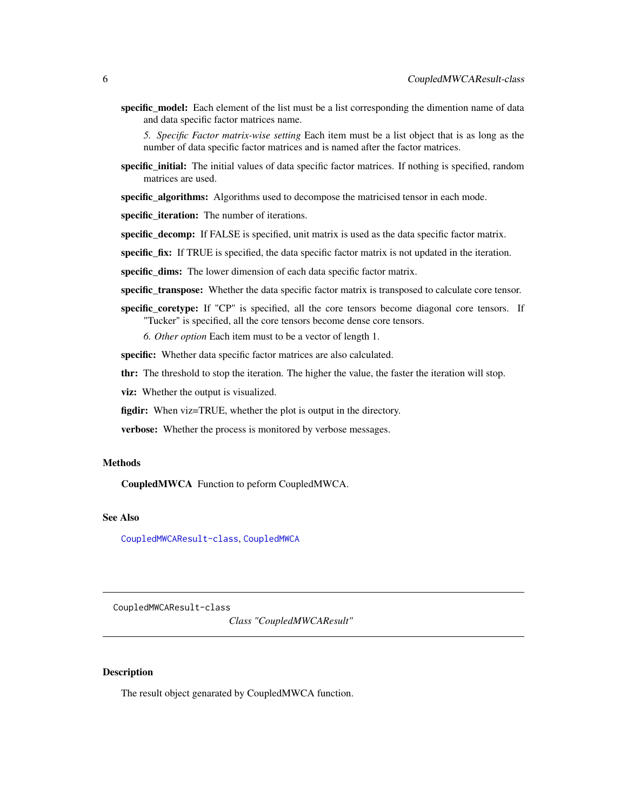<span id="page-5-0"></span>specific\_model: Each element of the list must be a list corresponding the dimention name of data and data specific factor matrices name.

*5. Specific Factor matrix-wise setting* Each item must be a list object that is as long as the number of data specific factor matrices and is named after the factor matrices.

**specific\_initial:** The initial values of data specific factor matrices. If nothing is specified, random matrices are used.

specific\_algorithms: Algorithms used to decompose the matricised tensor in each mode.

specific iteration: The number of iterations.

specific\_decomp: If FALSE is specified, unit matrix is used as the data specific factor matrix.

specific\_fix: If TRUE is specified, the data specific factor matrix is not updated in the iteration.

specific\_dims: The lower dimension of each data specific factor matrix.

specific\_transpose: Whether the data specific factor matrix is transposed to calculate core tensor.

specific\_coretype: If "CP" is specified, all the core tensors become diagonal core tensors. If "Tucker" is specified, all the core tensors become dense core tensors.

*6. Other option* Each item must to be a vector of length 1.

specific: Whether data specific factor matrices are also calculated.

thr: The threshold to stop the iteration. The higher the value, the faster the iteration will stop.

viz: Whether the output is visualized.

figdir: When viz=TRUE, whether the plot is output in the directory.

verbose: Whether the process is monitored by verbose messages.

#### Methods

CoupledMWCA Function to peform CoupledMWCA.

# See Also

[CoupledMWCAResult-class](#page-5-1), [CoupledMWCA](#page-3-1)

<span id="page-5-1"></span>CoupledMWCAResult-class

*Class "CoupledMWCAResult"*

#### **Description**

The result object genarated by CoupledMWCA function.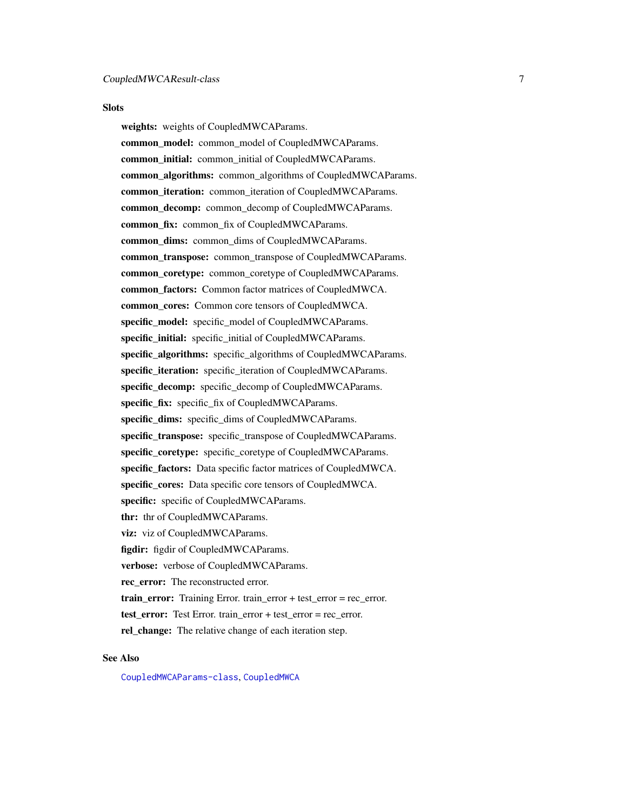#### <span id="page-6-0"></span>**Slots**

weights: weights of CoupledMWCAParams. common\_model: common\_model of CoupledMWCAParams. common initial: common initial of CoupledMWCAParams. common\_algorithms: common\_algorithms of CoupledMWCAParams. common\_iteration: common\_iteration of CoupledMWCAParams. common\_decomp: common\_decomp of CoupledMWCAParams. common\_fix: common\_fix of CoupledMWCAParams. common\_dims: common\_dims of CoupledMWCAParams. common\_transpose: common\_transpose of CoupledMWCAParams. common\_coretype: common\_coretype of CoupledMWCAParams. common factors: Common factor matrices of CoupledMWCA. common cores: Common core tensors of CoupledMWCA. specific\_model: specific\_model of CoupledMWCAParams. specific\_initial: specific\_initial of CoupledMWCAParams. specific algorithms: specific algorithms of CoupledMWCAParams. specific\_iteration: specific\_iteration of CoupledMWCAParams.

specific\_decomp: specific\_decomp of CoupledMWCAParams. specific\_fix: specific\_fix of CoupledMWCAParams.

specific dims: specific dims of CoupledMWCAParams.

specific\_transpose: specific\_transpose of CoupledMWCAParams. specific coretype: specific coretype of CoupledMWCAParams.

specific factors: Data specific factor matrices of CoupledMWCA.

specific\_cores: Data specific core tensors of CoupledMWCA.

specific: specific of CoupledMWCAParams.

thr: thr of CoupledMWCAParams.

viz: viz of CoupledMWCAParams.

figdir: figdir of CoupledMWCAParams.

verbose: verbose of CoupledMWCAParams.

rec\_error: The reconstructed error.

train error: Training Error. train error + test error = rec error.

test\_error: Test Error. train\_error + test\_error = rec\_error.

rel\_change: The relative change of each iteration step.

# See Also

[CoupledMWCAParams-class](#page-4-1), [CoupledMWCA](#page-3-1)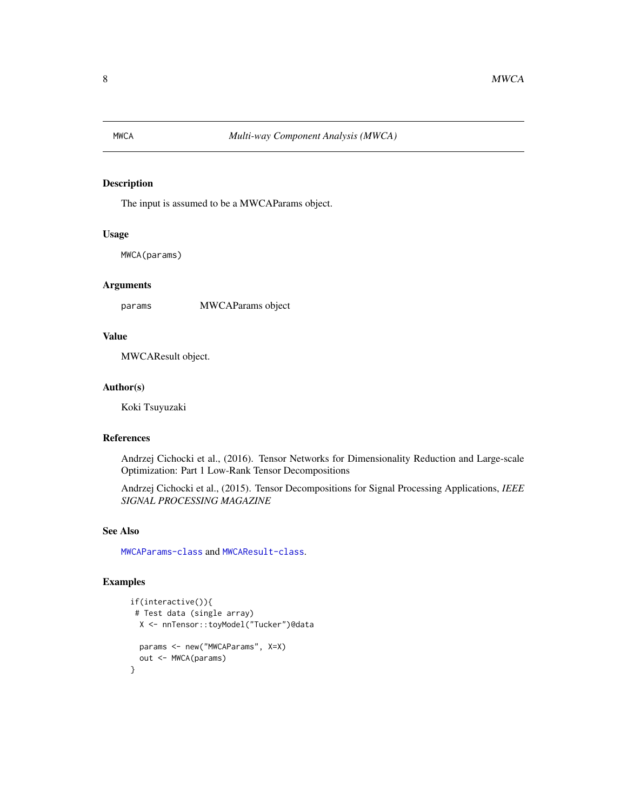<span id="page-7-1"></span><span id="page-7-0"></span>

# Description

The input is assumed to be a MWCAParams object.

#### Usage

MWCA(params)

#### Arguments

params MWCAParams object

#### Value

MWCAResult object.

# Author(s)

Koki Tsuyuzaki

### References

Andrzej Cichocki et al., (2016). Tensor Networks for Dimensionality Reduction and Large-scale Optimization: Part 1 Low-Rank Tensor Decompositions

Andrzej Cichocki et al., (2015). Tensor Decompositions for Signal Processing Applications, *IEEE SIGNAL PROCESSING MAGAZINE*

#### See Also

[MWCAParams-class](#page-8-1) and [MWCAResult-class](#page-8-2).

```
if(interactive()){
 # Test data (single array)
 X <- nnTensor::toyModel("Tucker")@data
 params <- new("MWCAParams", X=X)
 out <- MWCA(params)
}
```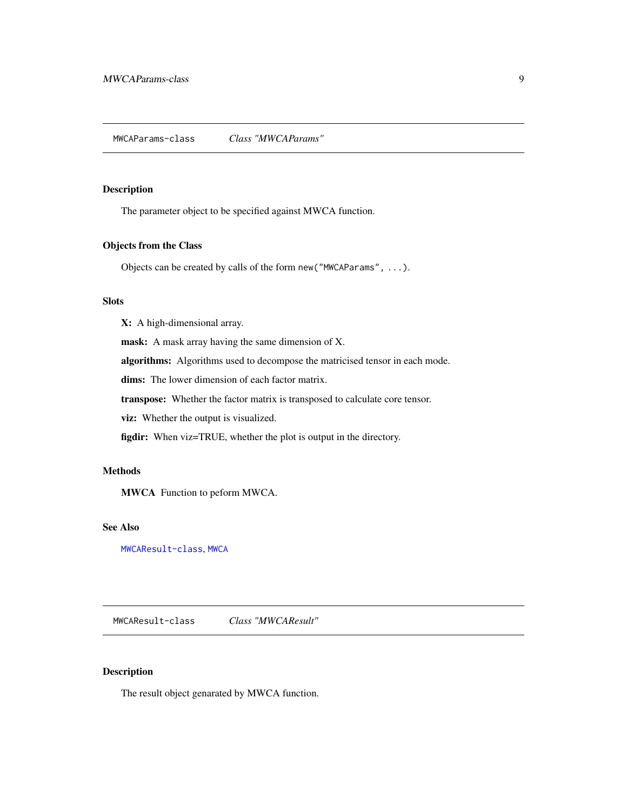#### <span id="page-8-1"></span><span id="page-8-0"></span>Description

The parameter object to be specified against MWCA function.

#### Objects from the Class

Objects can be created by calls of the form new("MWCAParams", ...).

# Slots

X: A high-dimensional array.

mask: A mask array having the same dimension of X.

algorithms: Algorithms used to decompose the matricised tensor in each mode.

dims: The lower dimension of each factor matrix.

transpose: Whether the factor matrix is transposed to calculate core tensor.

viz: Whether the output is visualized.

figdir: When viz=TRUE, whether the plot is output in the directory.

# Methods

MWCA Function to peform MWCA.

#### See Also

[MWCAResult-class](#page-8-2), [MWCA](#page-7-1)

<span id="page-8-2"></span>MWCAResult-class *Class "MWCAResult"*

# Description

The result object genarated by MWCA function.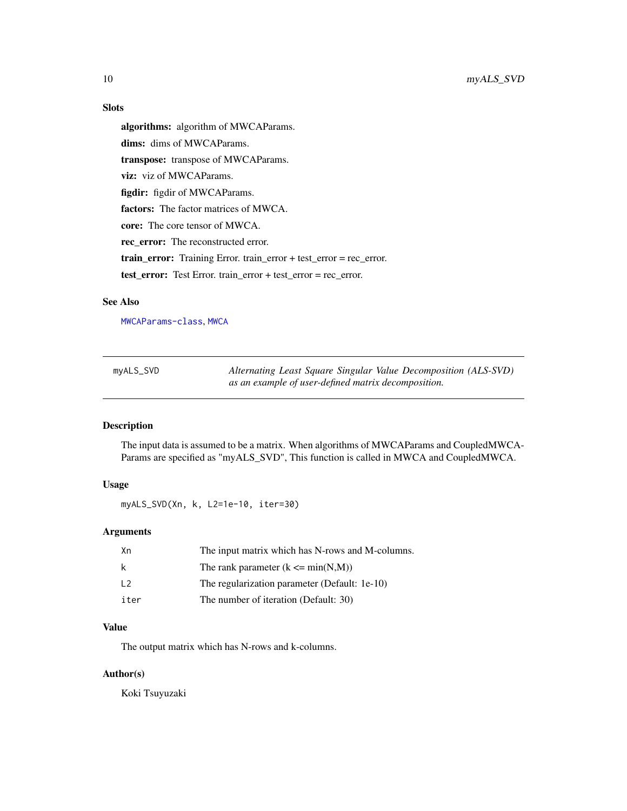# <span id="page-9-0"></span>Slots

algorithms: algorithm of MWCAParams. dims: dims of MWCAParams. transpose: transpose of MWCAParams. viz: viz of MWCAParams. figdir: figdir of MWCAParams. factors: The factor matrices of MWCA. core: The core tensor of MWCA. rec\_error: The reconstructed error. train\_error: Training Error. train\_error + test\_error = rec\_error. test\_error: Test Error. train\_error + test\_error = rec\_error.

#### See Also

[MWCAParams-class](#page-8-1), [MWCA](#page-7-1)

<span id="page-9-1"></span>

| myALS_SVD | Alternating Least Square Singular Value Decomposition (ALS-SVD) |
|-----------|-----------------------------------------------------------------|
|           | as an example of user-defined matrix decomposition.             |

### Description

The input data is assumed to be a matrix. When algorithms of MWCAParams and CoupledMWCA-Params are specified as "myALS\_SVD", This function is called in MWCA and CoupledMWCA.

# Usage

myALS\_SVD(Xn, k, L2=1e-10, iter=30)

# Arguments

| Xn             | The input matrix which has N-rows and M-columns. |
|----------------|--------------------------------------------------|
| k              | The rank parameter $(k \le min(N,M))$            |
| $\overline{2}$ | The regularization parameter (Default: 1e-10)    |
| iter           | The number of iteration (Default: 30)            |

#### Value

The output matrix which has N-rows and k-columns.

#### Author(s)

Koki Tsuyuzaki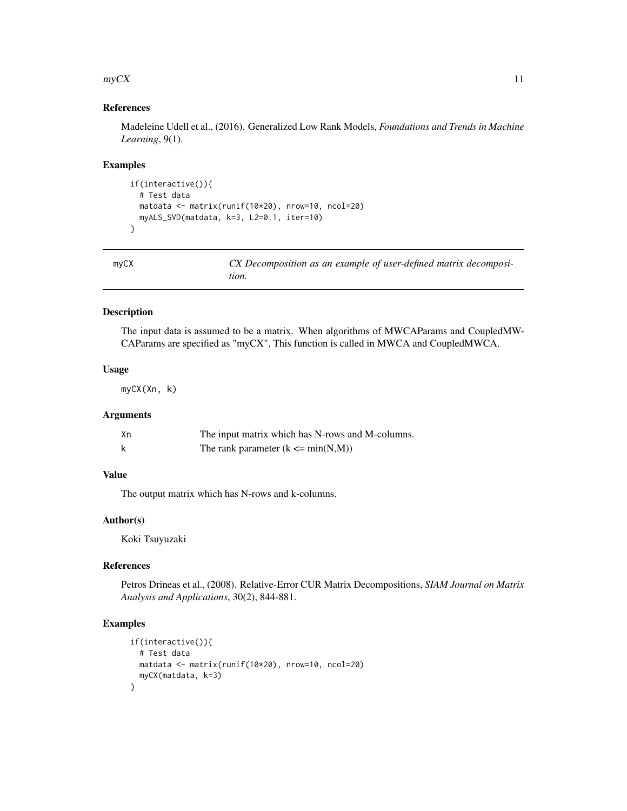#### <span id="page-10-0"></span> $\mathbf{m}y\mathbf{C}X$  11

# References

Madeleine Udell et al., (2016). Generalized Low Rank Models, *Foundations and Trends in Machine Learning*, 9(1).

#### Examples

```
if(interactive()){
  # Test data
 matdata <- matrix(runif(10*20), nrow=10, ncol=20)
 myALS_SVD(matdata, k=3, L2=0.1, iter=10)
}
```
<span id="page-10-1"></span>

| myCX | CX Decomposition as an example of user-defined matrix decomposi- |
|------|------------------------------------------------------------------|
|      | tion.                                                            |

# Description

The input data is assumed to be a matrix. When algorithms of MWCAParams and CoupledMW-CAParams are specified as "myCX", This function is called in MWCA and CoupledMWCA.

#### Usage

myCX(Xn, k)

# Arguments

| Хn | The input matrix which has N-rows and M-columns. |
|----|--------------------------------------------------|
|    | The rank parameter $(k \le min(N,M))$            |

#### Value

The output matrix which has N-rows and k-columns.

#### Author(s)

Koki Tsuyuzaki

# References

Petros Drineas et al., (2008). Relative-Error CUR Matrix Decompositions, *SIAM Journal on Matrix Analysis and Applications*, 30(2), 844-881.

```
if(interactive()){
  # Test data
  matdata <- matrix(runif(10*20), nrow=10, ncol=20)
 myCX(matdata, k=3)
}
```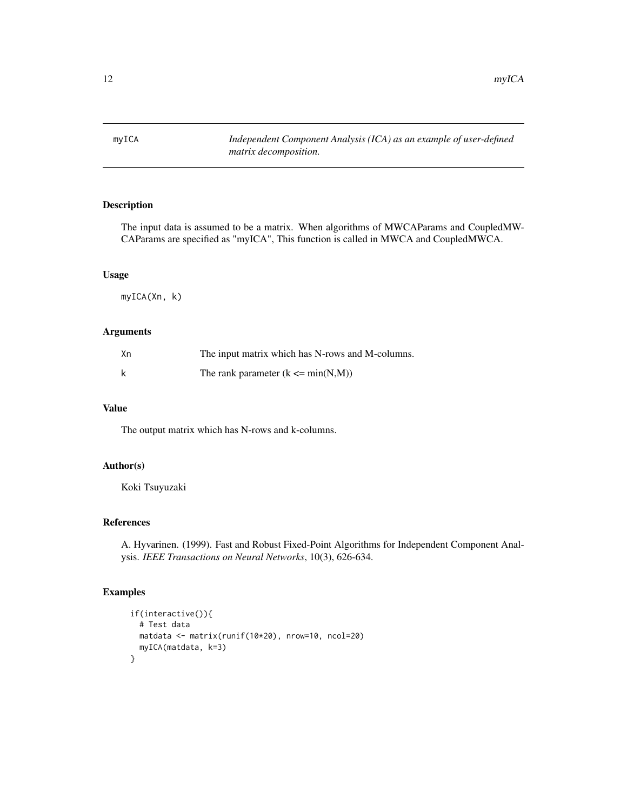<span id="page-11-1"></span><span id="page-11-0"></span>myICA *Independent Component Analysis (ICA) as an example of user-defined matrix decomposition.*

# Description

The input data is assumed to be a matrix. When algorithms of MWCAParams and CoupledMW-CAParams are specified as "myICA", This function is called in MWCA and CoupledMWCA.

#### Usage

myICA(Xn, k)

# Arguments

| Хn | The input matrix which has N-rows and M-columns. |
|----|--------------------------------------------------|
| k  | The rank parameter $(k \le min(N,M))$            |

# Value

The output matrix which has N-rows and k-columns.

#### Author(s)

Koki Tsuyuzaki

# References

A. Hyvarinen. (1999). Fast and Robust Fixed-Point Algorithms for Independent Component Analysis. *IEEE Transactions on Neural Networks*, 10(3), 626-634.

```
if(interactive()){
  # Test data
 matdata <- matrix(runif(10*20), nrow=10, ncol=20)
  myICA(matdata, k=3)
}
```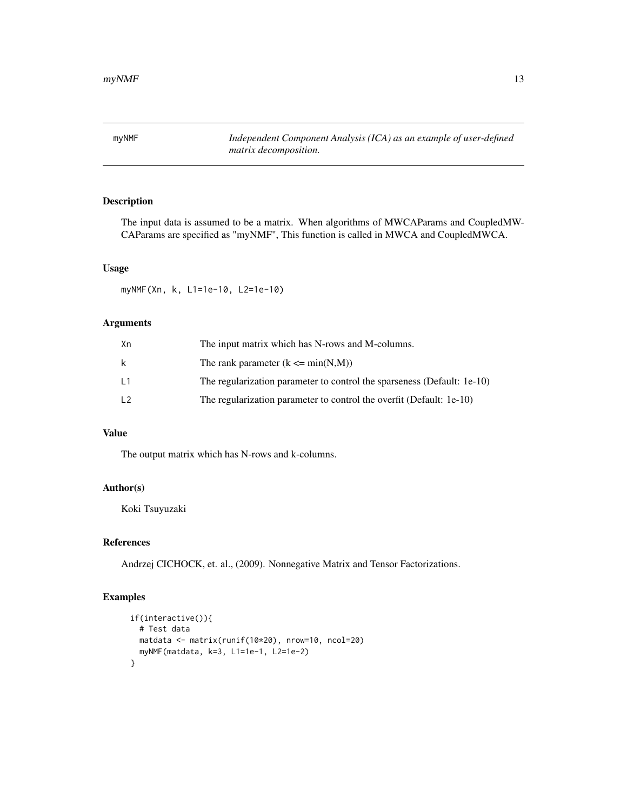<span id="page-12-1"></span><span id="page-12-0"></span>myNMF *Independent Component Analysis (ICA) as an example of user-defined matrix decomposition.*

# Description

The input data is assumed to be a matrix. When algorithms of MWCAParams and CoupledMW-CAParams are specified as "myNMF", This function is called in MWCA and CoupledMWCA.

# Usage

myNMF(Xn, k, L1=1e-10, L2=1e-10)

# Arguments

| Хn | The input matrix which has N-rows and M-columns.                        |
|----|-------------------------------------------------------------------------|
| k. | The rank parameter $(k \leq min(N,M))$                                  |
| L1 | The regularization parameter to control the sparseness (Default: 1e-10) |
| L2 | The regularization parameter to control the overfit (Default: 1e-10)    |

# Value

The output matrix which has N-rows and k-columns.

#### Author(s)

Koki Tsuyuzaki

# References

Andrzej CICHOCK, et. al., (2009). Nonnegative Matrix and Tensor Factorizations.

```
if(interactive()){
 # Test data
 matdata <- matrix(runif(10*20), nrow=10, ncol=20)
 myNMF(matdata, k=3, L1=1e-1, L2=1e-2)
}
```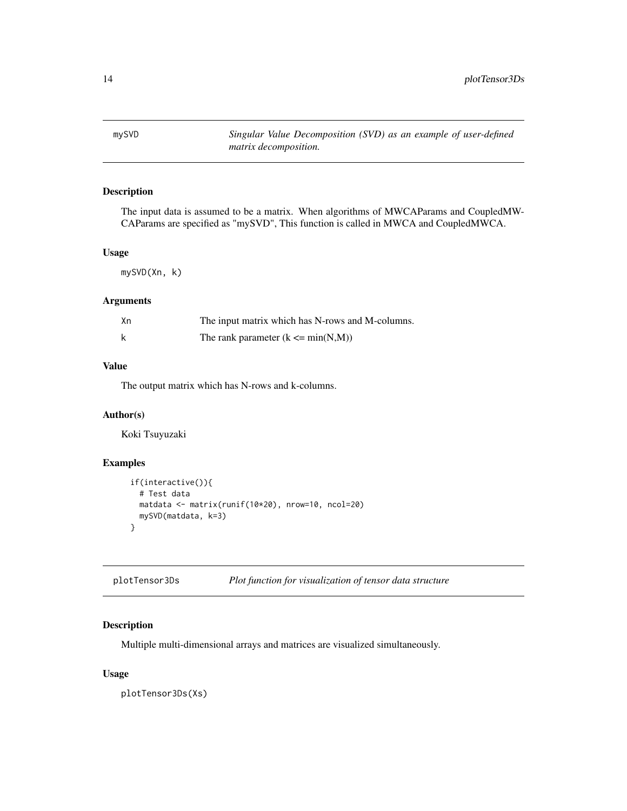<span id="page-13-1"></span><span id="page-13-0"></span>mySVD *Singular Value Decomposition (SVD) as an example of user-defined matrix decomposition.*

# Description

The input data is assumed to be a matrix. When algorithms of MWCAParams and CoupledMW-CAParams are specified as "mySVD", This function is called in MWCA and CoupledMWCA.

#### Usage

mySVD(Xn, k)

# Arguments

| Хn | The input matrix which has N-rows and M-columns. |
|----|--------------------------------------------------|
|    | The rank parameter $(k \le min(N,M))$            |

# Value

The output matrix which has N-rows and k-columns.

#### Author(s)

Koki Tsuyuzaki

# Examples

```
if(interactive()){
  # Test data
 matdata <- matrix(runif(10*20), nrow=10, ncol=20)
 mySVD(matdata, k=3)
}
```
<span id="page-13-2"></span>plotTensor3Ds *Plot function for visualization of tensor data structure*

# Description

Multiple multi-dimensional arrays and matrices are visualized simultaneously.

#### Usage

plotTensor3Ds(Xs)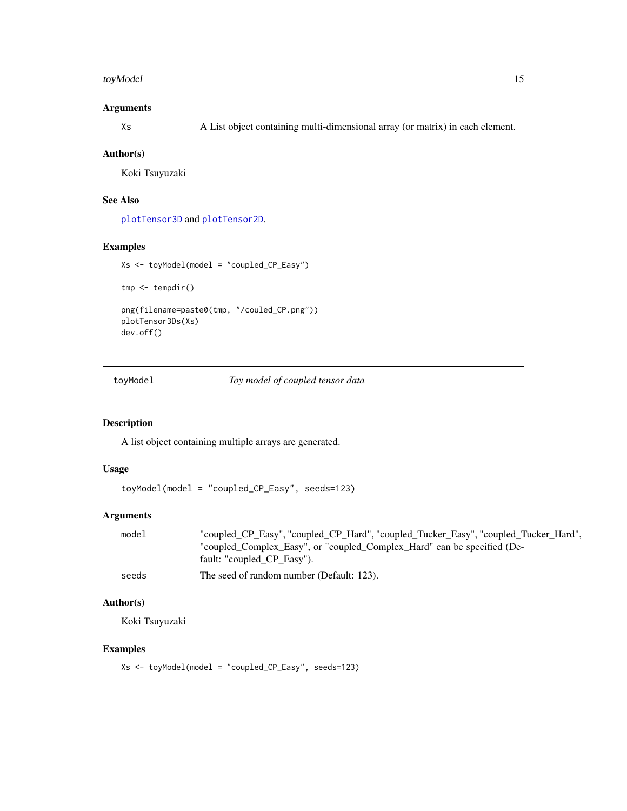#### <span id="page-14-0"></span>toyModel and the state of the state of the state of the state of the state of the state of the state of the state of the state of the state of the state of the state of the state of the state of the state of the state of t

# Arguments

Xs A List object containing multi-dimensional array (or matrix) in each element.

#### Author(s)

Koki Tsuyuzaki

#### See Also

[plotTensor3D](#page-0-0) and [plotTensor2D](#page-0-0).

#### Examples

```
Xs <- toyModel(model = "coupled_CP_Easy")
tmp <- tempdir()
png(filename=paste0(tmp, "/couled_CP.png"))
plotTensor3Ds(Xs)
dev.off()
```
toyModel *Toy model of coupled tensor data*

# Description

A list object containing multiple arrays are generated.

# Usage

toyModel(model = "coupled\_CP\_Easy", seeds=123)

# Arguments

| model | "coupled_CP_Easy", "coupled_CP_Hard", "coupled_Tucker_Easy", "coupled_Tucker_Hard", |
|-------|-------------------------------------------------------------------------------------|
|       | "coupled Complex Easy", or "coupled Complex Hard" can be specified (De-             |
|       | fault: "coupled CP Easy").                                                          |
|       |                                                                                     |

seeds The seed of random number (Default: 123).

### Author(s)

Koki Tsuyuzaki

# Examples

Xs <- toyModel(model = "coupled\_CP\_Easy", seeds=123)